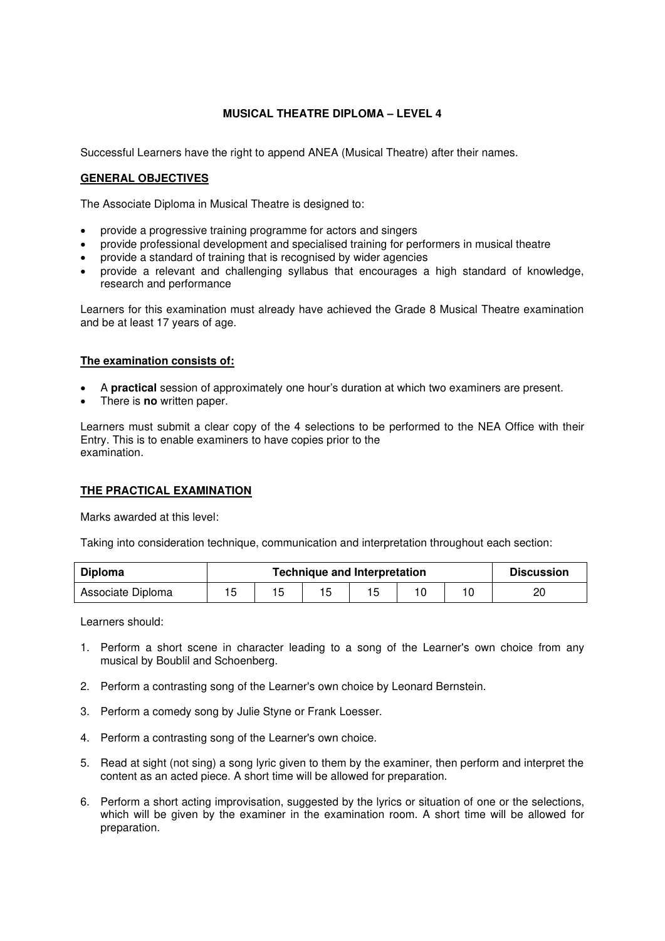## **MUSICAL THEATRE DIPLOMA – LEVEL 4**

Successful Learners have the right to append ANEA (Musical Theatre) after their names.

## **GENERAL OBJECTIVES**

The Associate Diploma in Musical Theatre is designed to:

- provide a progressive training programme for actors and singers
- provide professional development and specialised training for performers in musical theatre
- provide a standard of training that is recognised by wider agencies
- provide a relevant and challenging syllabus that encourages a high standard of knowledge, research and performance

Learners for this examination must already have achieved the Grade 8 Musical Theatre examination and be at least 17 years of age.

## **The examination consists of:**

- A **practical** session of approximately one hour's duration at which two examiners are present.
- There is **no** written paper.

Learners must submit a clear copy of the 4 selections to be performed to the NEA Office with their Entry. This is to enable examiners to have copies prior to the examination.

## **THE PRACTICAL EXAMINATION**

Marks awarded at this level:

Taking into consideration technique, communication and interpretation throughout each section:

| <b>Diploma</b>    | <b>Technique and Interpretation</b> |  |  |  |  |  | <b>Discussion</b> |
|-------------------|-------------------------------------|--|--|--|--|--|-------------------|
| Associate Diploma |                                     |  |  |  |  |  |                   |

Learners should:

- 1. Perform a short scene in character leading to a song of the Learner's own choice from any musical by Boublil and Schoenberg.
- 2. Perform a contrasting song of the Learner's own choice by Leonard Bernstein.
- 3. Perform a comedy song by Julie Styne or Frank Loesser.
- 4. Perform a contrasting song of the Learner's own choice.
- 5. Read at sight (not sing) a song lyric given to them by the examiner, then perform and interpret the content as an acted piece. A short time will be allowed for preparation.
- 6. Perform a short acting improvisation, suggested by the lyrics or situation of one or the selections, which will be given by the examiner in the examination room. A short time will be allowed for preparation.